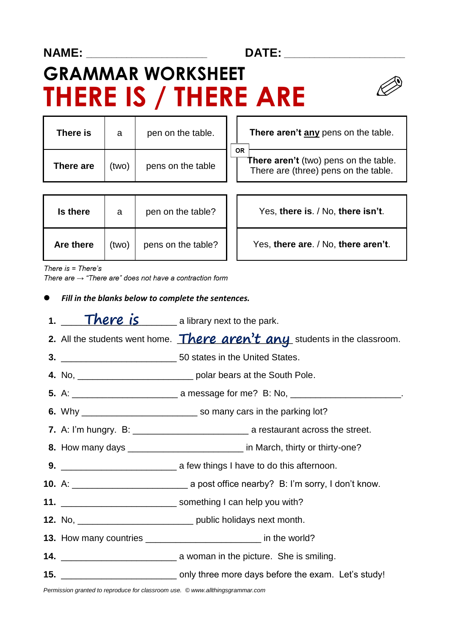### **NAME: \_\_\_\_\_\_\_\_\_\_\_\_\_\_\_\_\_\_\_\_\_\_\_\_ DATE: \_\_\_\_\_\_\_\_\_\_\_\_\_\_\_\_\_\_\_\_\_\_\_\_**

**OR** 

# **GRAMMAR WORKSHEET THERE IS / THERE ARE**



| There is  | a     | pen on the table. |
|-----------|-------|-------------------|
| There are | (two) | pens on the table |

| <b>Is there</b> | a     | pen on the table?  |
|-----------------|-------|--------------------|
| Are there       | (two) | pens on the table? |

**There aren't any** pens on the table.

**There aren't** (two) pens on the table. There are (three) pens on the table.

**Yes, there is. / No. there isn't.** 

Yes, there are. / No, there aren't.

There  $is$  = There's

There are  $\rightarrow$  "There are" does not have a contraction form

- *Fill in the blanks below to complete the sentences.*
- 1. There is ellibrary next to the park.
- 2. All the students went home. **There aren't any** students in the classroom.
- **3.** \_\_\_\_\_\_\_\_\_\_\_\_\_\_\_\_\_\_\_\_\_\_\_ 50 states in the United States.
- **4.** No, \_\_\_\_\_\_\_\_\_\_\_\_\_\_\_\_\_\_\_\_\_\_\_ polar bears at the South Pole.

 **5.** A: \_\_\_\_\_\_\_\_\_\_\_\_\_\_\_\_\_\_\_\_\_ a message for me? B: No, \_\_\_\_\_\_\_\_\_\_\_\_\_\_\_\_\_\_\_\_\_\_.

- **6.** Why \_\_\_\_\_\_\_\_\_\_\_\_\_\_\_\_\_\_\_\_\_\_\_ so many cars in the parking lot?
- **7.** A: I'm hungry. B: \_\_\_\_\_\_\_\_\_\_\_\_\_\_\_\_\_\_\_\_\_\_\_ a restaurant across the street.
- **8.** How many days \_\_\_\_\_\_\_\_\_\_\_\_\_\_\_\_\_\_\_\_\_\_\_ in March, thirty or thirty-one?
- **9. 19. 19. 19. 19. 19. 19. 19. 19. 19. 19. 19. 19. 19. 19. 19. 19. 19. 19. 19. 19. 19. 19. 19. 19. 19. 19. 19. 19. 19. 19. 19. 19. 19. 19. 19. 19.**
- **10.** A: \_\_\_\_\_\_\_\_\_\_\_\_\_\_\_\_\_\_\_\_\_\_\_ a post office nearby? B: I'm sorry, I don't know.
- **11.** \_\_\_\_\_\_\_\_\_\_\_\_\_\_\_\_\_\_\_\_\_\_\_ something I can help you with?
- **12.** No, \_\_\_\_\_\_\_\_\_\_\_\_\_\_\_\_\_\_\_\_\_\_\_ public holidays next month.
- **13.** How many countries \_\_\_\_\_\_\_\_\_\_\_\_\_\_\_\_\_\_\_\_\_\_\_ in the world?
- **14. 14. 14. 14. 14. 14. 14. 16. 16. 16. 16. 16. 16. 16. 16. 16. 16. 16. 16. 16. 16. 16. 16. 16. 16. 16. 16. 16. 16. 16. 16. 16. 16. 16. 16. 16. 16.**
- **15. 15. 15. 15. 15. 15. 15. 15. 16. 16. 16. 16. 16. 16. 16. 16. 16. 16. 16. 16. 16. 16. 16. 16. 16. 16. 16. 16. 16. 16. 16. 16. 16. 16. 16. 16. 16.**

*Permission granted to reproduce for classroom use. © www.allthingsgrammar.com*